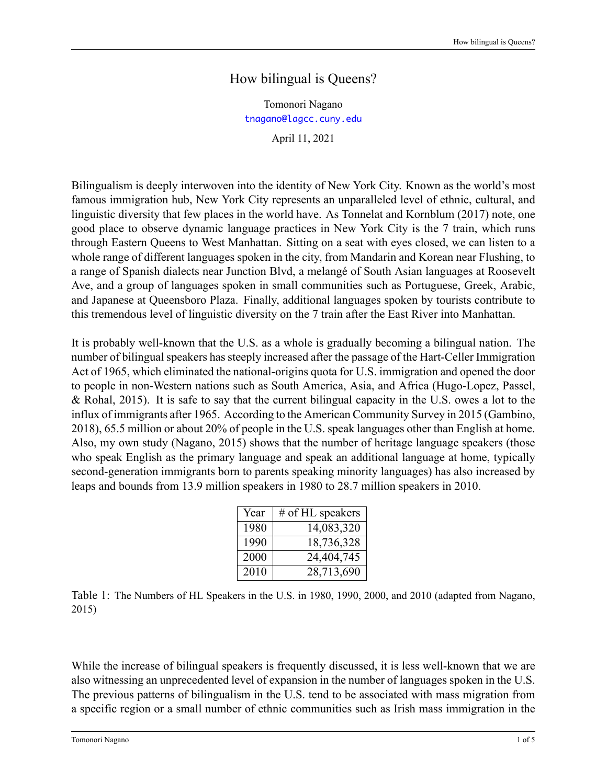## How bilingual is Queens?

Tomonori Nagano <tnagano@lagcc.cuny.edu>

April 11, 2021

Bilingualism is deeply interwoven into the identity of New York City. Known as the world's most famous immigration hub, New York City represents an unparalleled level of ethnic, cultural, and linguistic diversity that few places in the world have. As Tonnelat and Kornblum (2017) note, one good place to observe dynamic language practices in New York City is the 7 train, which runs through Eastern Queens to West Manhattan. Sitting on a seat with eyes closed, we can listen to a whole range of different languages spoken in the city, from Mandarin and Korean near Flushing, to a range of Spanish dialects near Junction Blvd, a melangé of South Asian languages at Roosevelt Ave, and a group of languages spoken in small communities such as Portuguese, Greek, Arabic, and Japanese at Queensboro Plaza. Finally, additional languages spoken by tourists contribute to this tremendous level of linguistic diversity on the 7 train after the East River into Manhattan.

It is probably well-known that the U.S. as a whole is gradually becoming a bilingual nation. The number of bilingual speakers has steeply increased after the passage of the Hart-Celler Immigration Act of 1965, which eliminated the national-origins quota for U.S. immigration and opened the door to people in non-Western nations such as South America, Asia, and Africa (Hugo-Lopez, Passel, [& Rohal,](#page-3-0) [2015](#page-3-0)). It is safe to say that the current bilingual capacity in the U.S. owes a lot to the influx of immigrants after 1965. According to the American Community Survey in 2015([Gambino](#page-3-1), [2018\)](#page-3-1), 65.5 million or about 20% of people in the U.S. speak languages other than English at home. Also, my own study([Nagano](#page-4-0), [2015\)](#page-4-0) shows that the number of heritage language speakers (those who speak English as the primary language and speak an additional language at home, typically second-generation immigrants born to parents speaking minority languages) has also increased by leaps and bounds from 13.9 million speakers in 1980 to 28.7 million speakers in 2010.

| Year | # of HL speakers |
|------|------------------|
| 1980 | 14,083,320       |
| 1990 | 18,736,328       |
| 2000 | 24,404,745       |
| 2010 | 28,713,690       |

Table 1: The Numbers of HL Speakers in the U.S. in 1980, 1990, 2000, and 2010 (adapted from Nagano, 2015)

While the increase of bilingual speakers is frequently discussed, it is less well-known that we are also witnessing an unprecedented level of expansion in the number of languages spoken in the U.S. The previous patterns of bilingualism in the U.S. tend to be associated with mass migration from a specific region or a small number of ethnic communities such as Irish mass immigration in the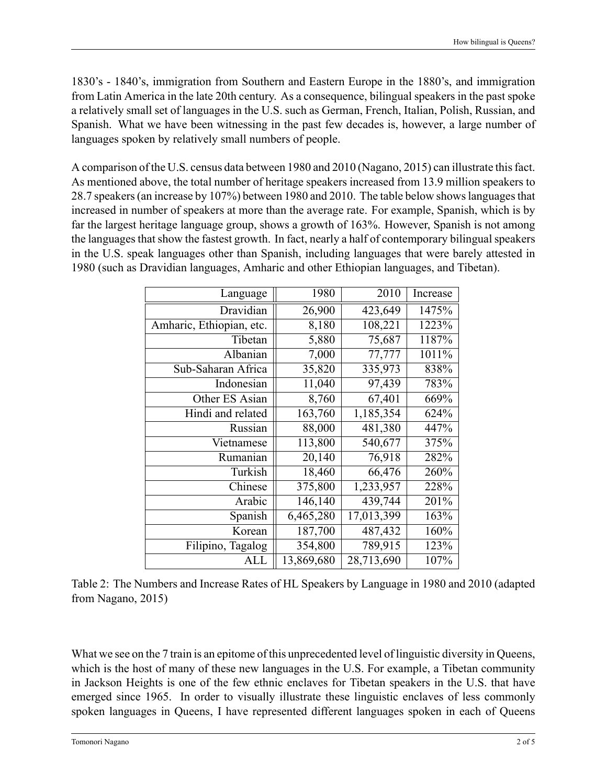1830's 1840's, immigration from Southern and Eastern Europe in the 1880's, and immigration from Latin America in the late 20th century. As a consequence, bilingual speakers in the past spoke a relatively small set of languages in the U.S. such as German, French, Italian, Polish, Russian, and Spanish. What we have been witnessing in the past few decades is, however, a large number of languages spoken by relatively small numbers of people.

A comparison of the U.S. census data between 1980 and 2010 [\(Nagano](#page-4-0), [2015](#page-4-0)) can illustrate this fact. As mentioned above, the total number of heritage speakers increased from 13.9 million speakers to 28.7 speakers (an increase by 107%) between 1980 and 2010. The table below shows languages that increased in number of speakers at more than the average rate. For example, Spanish, which is by far the largest heritage language group, shows a growth of 163%. However, Spanish is not among the languages that show the fastest growth. In fact, nearly a half of contemporary bilingual speakers in the U.S. speak languages other than Spanish, including languages that were barely attested in 1980 (such as Dravidian languages, Amharic and other Ethiopian languages, and Tibetan).

| Language                 | 1980       | 2010       | Increase |
|--------------------------|------------|------------|----------|
| Dravidian                | 26,900     | 423,649    | 1475%    |
| Amharic, Ethiopian, etc. | 8,180      | 108,221    | 1223%    |
| Tibetan                  | 5,880      | 75,687     | 1187%    |
| Albanian                 | 7,000      | 77,777     | 1011%    |
| Sub-Saharan Africa       | 35,820     | 335,973    | 838%     |
| Indonesian               | 11,040     | 97,439     | 783%     |
| Other ES Asian           | 8,760      | 67,401     | 669%     |
| Hindi and related        | 163,760    | 1,185,354  | 624%     |
| Russian                  | 88,000     | 481,380    | 447%     |
| Vietnamese               | 113,800    | 540,677    | 375%     |
| Rumanian                 | 20,140     | 76,918     | 282%     |
| Turkish                  | 18,460     | 66,476     | 260%     |
| Chinese                  | 375,800    | 1,233,957  | 228%     |
| Arabic                   | 146,140    | 439,744    | 201%     |
| Spanish                  | 6,465,280  | 17,013,399 | 163%     |
| Korean                   | 187,700    | 487,432    | 160%     |
| Filipino, Tagalog        | 354,800    | 789,915    | 123%     |
| ALL                      | 13,869,680 | 28,713,690 | 107%     |

|                       | Table 2: The Numbers and Increase Rates of HL Speakers by Language in 1980 and 2010 (adapted |  |
|-----------------------|----------------------------------------------------------------------------------------------|--|
| from Nagano, $2015$ ) |                                                                                              |  |

What we see on the 7 train is an epitome of this unprecedented level of linguistic diversity in Queens, which is the host of many of these new languages in the U.S. For example, a Tibetan community in Jackson Heights is one of the few ethnic enclaves for Tibetan speakers in the U.S. that have emerged since 1965. In order to visually illustrate these linguistic enclaves of less commonly spoken languages in Queens, I have represented different languages spoken in each of Queens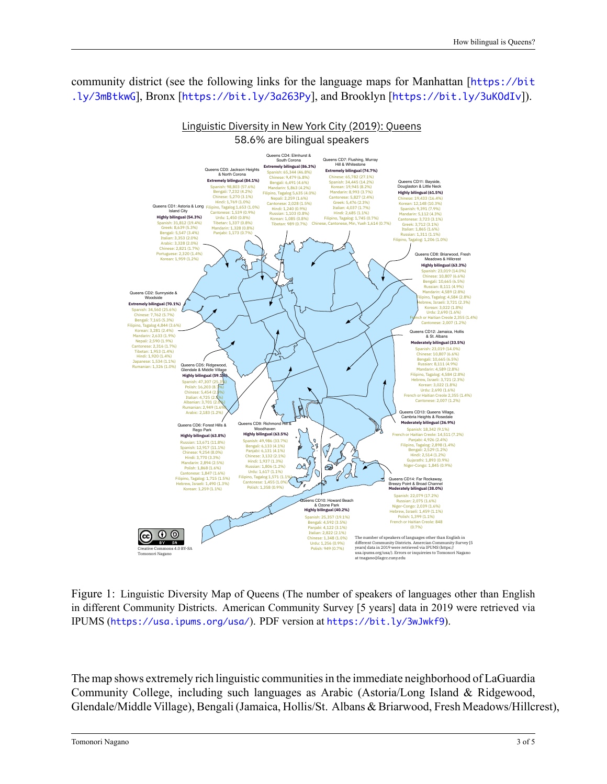community district (see the following links for the language maps for Manhattan [[https://bit](https://bit.ly/3mBtkwG) [.ly/3mBtkwG](https://bit.ly/3mBtkwG)], Bronx [<https://bit.ly/3a263Py>], and Brooklyn [<https://bit.ly/3uKOdIv>]).



Figure 1: Linguistic Diversity Map of Queens (The number of speakers of languages other than English in different Community Districts. American Community Survey [5 years] data in 2019 were retrieved via IPUMS (<https://usa.ipums.org/usa/>). PDF version at <https://bit.ly/3wJwkf9>).

The map shows extremely rich linguistic communities in the immediate neighborhood of LaGuardia Community College, including such languages as Arabic (Astoria/Long Island & Ridgewood, Glendale/Middle Village), Bengali (Jamaica, Hollis/St. Albans & Briarwood, Fresh Meadows/Hillcrest),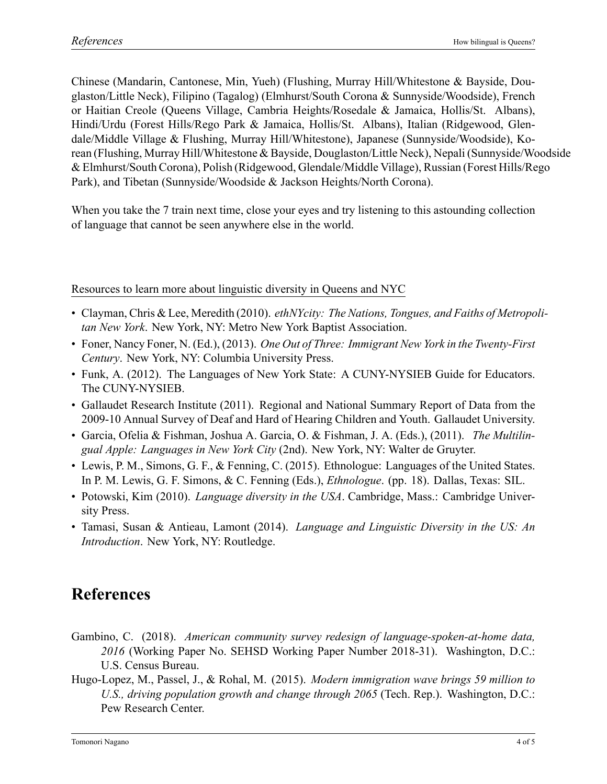Chinese (Mandarin, Cantonese, Min, Yueh) (Flushing, Murray Hill/Whitestone & Bayside, Douglaston/Little Neck), Filipino (Tagalog) (Elmhurst/South Corona & Sunnyside/Woodside), French or Haitian Creole (Queens Village, Cambria Heights/Rosedale & Jamaica, Hollis/St. Albans), Hindi/Urdu (Forest Hills/Rego Park & Jamaica, Hollis/St. Albans), Italian (Ridgewood, Glendale/Middle Village & Flushing, Murray Hill/Whitestone), Japanese (Sunnyside/Woodside), Korean (Flushing, Murray Hill/Whitestone & Bayside, Douglaston/Little Neck), Nepali (Sunnyside/Woodside & Elmhurst/South Corona), Polish (Ridgewood, Glendale/Middle Village), Russian (Forest Hills/Rego Park), and Tibetan (Sunnyside/Woodside & Jackson Heights/North Corona).

When you take the 7 train next time, close your eyes and try listening to this astounding collection of language that cannot be seen anywhere else in the world.

Resources to learn more about linguistic diversity in Queens and NYC

- Clayman, Chris & Lee, Meredith (2010). *ethNYcity: The Nations, Tongues, and Faiths of Metropolitan New York*. New York, NY: Metro New York Baptist Association.
- Foner, Nancy Foner, N. (Ed.), (2013). *One Out of Three: Immigrant New York in the Twenty-First Century*. New York, NY: Columbia University Press.
- Funk, A. (2012). The Languages of New York State: A CUNY-NYSIEB Guide for Educators. The CUNY-NYSIEB.
- Gallaudet Research Institute (2011). Regional and National Summary Report of Data from the 2009-10 Annual Survey of Deaf and Hard of Hearing Children and Youth. Gallaudet University.
- Garcia, Ofelia & Fishman, Joshua A. Garcia, O. & Fishman, J. A. (Eds.), (2011). *The Multilingual Apple: Languages in New York City* (2nd). New York, NY: Walter de Gruyter.
- Lewis, P. M., Simons, G. F., & Fenning, C. (2015). Ethnologue: Languages of the United States. In P. M. Lewis, G. F. Simons, & C. Fenning (Eds.), *Ethnologue*. (pp. 18). Dallas, Texas: SIL.
- Potowski, Kim (2010). *Language diversity in the USA*. Cambridge, Mass.: Cambridge University Press.
- Tamasi, Susan & Antieau, Lamont (2014). *Language and Linguistic Diversity in the US: An Introduction*. New York, NY: Routledge.

## **References**

- <span id="page-3-1"></span>Gambino, C. (2018). *American community survey redesign of language-spoken-at-home data,* 2016 (Working Paper No. SEHSD Working Paper Number 2018-31). Washington, D.C.: U.S. Census Bureau.
- <span id="page-3-0"></span>HugoLopez, M., Passel, J., & Rohal, M. (2015). *Modern immigration wave brings 59 million to U.S., driving population growth and change through 2065* (Tech. Rep.). Washington, D.C.: Pew Research Center.